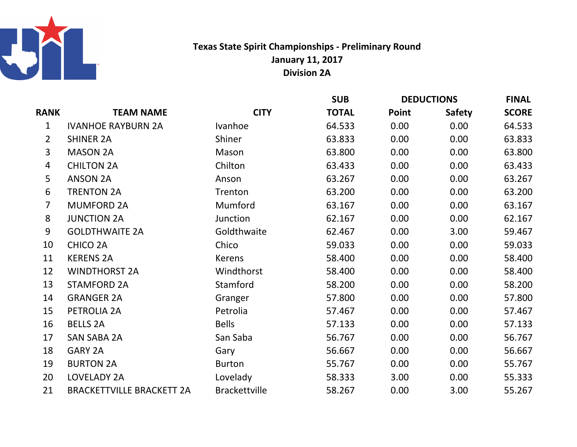

## Texas State Spirit Championships - Preliminary RoundDivision 2AJanuary 11, 2017

|                |                                  |                      | <b>SUB</b>   | <b>DEDUCTIONS</b> |               | <b>FINAL</b> |
|----------------|----------------------------------|----------------------|--------------|-------------------|---------------|--------------|
| <b>RANK</b>    | <b>TEAM NAME</b>                 | <b>CITY</b>          | <b>TOTAL</b> | Point             | <b>Safety</b> | <b>SCORE</b> |
| $\mathbf{1}$   | <b>IVANHOE RAYBURN 2A</b>        | Ivanhoe              | 64.533       | 0.00              | 0.00          | 64.533       |
| $\overline{2}$ | <b>SHINER 2A</b>                 | Shiner               | 63.833       | 0.00              | 0.00          | 63.833       |
| 3              | <b>MASON 2A</b>                  | Mason                | 63.800       | 0.00              | 0.00          | 63.800       |
| $\overline{4}$ | <b>CHILTON 2A</b>                | Chilton              | 63.433       | 0.00              | 0.00          | 63.433       |
| 5              | <b>ANSON 2A</b>                  | Anson                | 63.267       | 0.00              | 0.00          | 63.267       |
| 6              | <b>TRENTON 2A</b>                | Trenton              | 63.200       | 0.00              | 0.00          | 63.200       |
| 7              | <b>MUMFORD 2A</b>                | Mumford              | 63.167       | 0.00              | 0.00          | 63.167       |
| 8              | <b>JUNCTION 2A</b>               | Junction             | 62.167       | 0.00              | 0.00          | 62.167       |
| 9              | <b>GOLDTHWAITE 2A</b>            | Goldthwaite          | 62.467       | 0.00              | 3.00          | 59.467       |
| 10             | <b>CHICO 2A</b>                  | Chico                | 59.033       | 0.00              | 0.00          | 59.033       |
| 11             | <b>KERENS 2A</b>                 | <b>Kerens</b>        | 58.400       | 0.00              | 0.00          | 58.400       |
| 12             | <b>WINDTHORST 2A</b>             | Windthorst           | 58.400       | 0.00              | 0.00          | 58.400       |
| 13             | <b>STAMFORD 2A</b>               | Stamford             | 58.200       | 0.00              | 0.00          | 58.200       |
| 14             | <b>GRANGER 2A</b>                | Granger              | 57.800       | 0.00              | 0.00          | 57.800       |
| 15             | PETROLIA 2A                      | Petrolia             | 57.467       | 0.00              | 0.00          | 57.467       |
| 16             | <b>BELLS 2A</b>                  | <b>Bells</b>         | 57.133       | 0.00              | 0.00          | 57.133       |
| 17             | <b>SAN SABA 2A</b>               | San Saba             | 56.767       | 0.00              | 0.00          | 56.767       |
| 18             | <b>GARY 2A</b>                   | Gary                 | 56.667       | 0.00              | 0.00          | 56.667       |
| 19             | <b>BURTON 2A</b>                 | <b>Burton</b>        | 55.767       | 0.00              | 0.00          | 55.767       |
| 20             | LOVELADY 2A                      | Lovelady             | 58.333       | 3.00              | 0.00          | 55.333       |
| 21             | <b>BRACKETTVILLE BRACKETT 2A</b> | <b>Brackettville</b> | 58.267       | 0.00              | 3.00          | 55.267       |
|                |                                  |                      |              |                   |               |              |